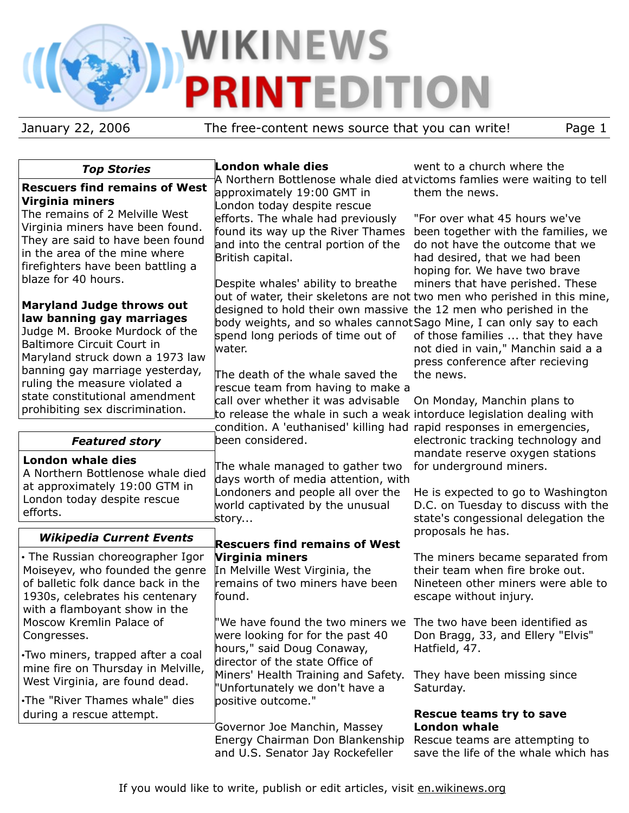# **WIKINEWS TEDITION** P

January 22, 2006 The free-content news source that you can write! Page 1

| <b>Top Stories</b>                                                   | <b>London whale dies</b>                                                                                                                        | went to a church where the                                                                |
|----------------------------------------------------------------------|-------------------------------------------------------------------------------------------------------------------------------------------------|-------------------------------------------------------------------------------------------|
| <b>Rescuers find remains of West</b>                                 | approximately 19:00 GMT in                                                                                                                      | A Northern Bottlenose whale died atvictoms famlies were waiting to tell<br>them the news. |
| <b>Virginia miners</b>                                               | London today despite rescue                                                                                                                     |                                                                                           |
| The remains of 2 Melville West<br>Virginia miners have been found.   | efforts. The whale had previously                                                                                                               | "For over what 45 hours we've                                                             |
| They are said to have been found                                     | found its way up the River Thames                                                                                                               | been together with the families, we                                                       |
| in the area of the mine where                                        | and into the central portion of the<br>British capital.                                                                                         | do not have the outcome that we<br>had desired, that we had been                          |
| firefighters have been battling a                                    |                                                                                                                                                 | hoping for. We have two brave                                                             |
| blaze for 40 hours.                                                  | Despite whales' ability to breathe                                                                                                              | miners that have perished. These                                                          |
|                                                                      |                                                                                                                                                 | out of water, their skeletons are not two men who perished in this mine,                  |
| <b>Maryland Judge throws out</b><br>law banning gay marriages        | designed to hold their own massive the 12 men who perished in the                                                                               |                                                                                           |
| Judge M. Brooke Murdock of the                                       | body weights, and so whales cannot Sago Mine, I can only say to each                                                                            |                                                                                           |
| <b>Baltimore Circuit Court in</b>                                    | spend long periods of time out of<br>water.                                                                                                     | of those families  that they have<br>not died in vain," Manchin said a a                  |
| Maryland struck down a 1973 law                                      |                                                                                                                                                 | press conference after recieving                                                          |
| banning gay marriage yesterday,                                      | The death of the whale saved the                                                                                                                | the news.                                                                                 |
| ruling the measure violated a<br>state constitutional amendment      | rescue team from having to make a                                                                                                               |                                                                                           |
| prohibiting sex discrimination.                                      | call over whether it was advisable                                                                                                              | On Monday, Manchin plans to                                                               |
|                                                                      | to release the whale in such a weak intorduce legislation dealing with<br>condition. A 'euthanised' killing had rapid responses in emergencies, |                                                                                           |
| <b>Featured story</b>                                                | been considered.                                                                                                                                | electronic tracking technology and                                                        |
| <b>London whale dies</b>                                             |                                                                                                                                                 | mandate reserve oxygen stations                                                           |
| A Northern Bottlenose whale died                                     | The whale managed to gather two                                                                                                                 | for underground miners.                                                                   |
| at approximately 19:00 GTM in                                        | days worth of media attention, with<br>Londoners and people all over the                                                                        |                                                                                           |
| London today despite rescue                                          | world captivated by the unusual                                                                                                                 | He is expected to go to Washington<br>D.C. on Tuesday to discuss with the                 |
| efforts.                                                             | story                                                                                                                                           | state's congessional delegation the                                                       |
| <b>Wikipedia Current Events</b>                                      |                                                                                                                                                 | proposals he has.                                                                         |
|                                                                      | <b>Rescuers find remains of West</b>                                                                                                            |                                                                                           |
| • The Russian choreographer Igor<br>Moiseyev, who founded the genre  | Virginia miners<br>In Melville West Virginia, the                                                                                               | The miners became separated from<br>their team when fire broke out.                       |
| of balletic folk dance back in the                                   | remains of two miners have been                                                                                                                 | Nineteen other miners were able to                                                        |
| 1930s, celebrates his centenary                                      | found.                                                                                                                                          | escape without injury.                                                                    |
| with a flamboyant show in the                                        |                                                                                                                                                 |                                                                                           |
| Moscow Kremlin Palace of                                             | "We have found the two miners we                                                                                                                | The two have been identified as                                                           |
| Congresses.                                                          | were looking for for the past 40<br>hours," said Doug Conaway,                                                                                  | Don Bragg, 33, and Ellery "Elvis"<br>Hatfield, 47.                                        |
| . Two miners, trapped after a coal                                   | director of the state Office of                                                                                                                 |                                                                                           |
| mine fire on Thursday in Melville,<br>West Virginia, are found dead. | Miners' Health Training and Safety.                                                                                                             | They have been missing since                                                              |
|                                                                      | 'Unfortunately we don't have a                                                                                                                  | Saturday.                                                                                 |
| .The "River Thames whale" dies                                       | positive outcome."                                                                                                                              |                                                                                           |
| during a rescue attempt.                                             | Governor Joe Manchin, Massey                                                                                                                    | Rescue teams try to save<br><b>London whale</b>                                           |
|                                                                      | Energy Chairman Don Blankenship                                                                                                                 | Rescue teams are attempting to                                                            |
|                                                                      | and U.S. Senator Jay Rockefeller                                                                                                                | save the life of the whale which has                                                      |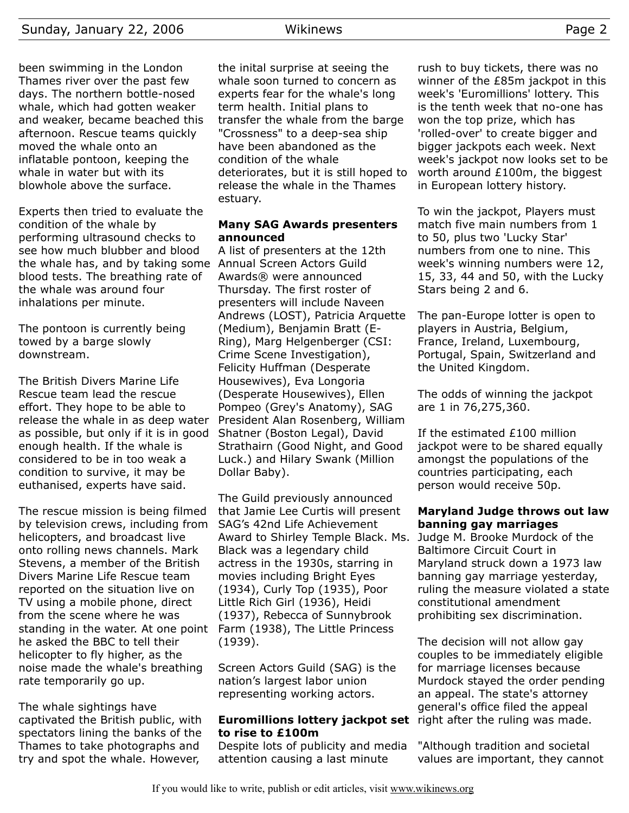been swimming in the London Thames river over the past few days. The northern bottle-nosed whale, which had gotten weaker and weaker, became beached this afternoon. Rescue teams quickly moved the whale onto an inflatable pontoon, keeping the whale in water but with its blowhole above the surface.

Experts then tried to evaluate the condition of the whale by performing ultrasound checks to see how much blubber and blood the whale has, and by taking some Annual Screen Actors Guild blood tests. The breathing rate of the whale was around four inhalations per minute.

The pontoon is currently being towed by a barge slowly downstream.

The British Divers Marine Life Rescue team lead the rescue effort. They hope to be able to release the whale in as deep water as possible, but only if it is in good enough health. If the whale is considered to be in too weak a condition to survive, it may be euthanised, experts have said.

The rescue mission is being filmed by television crews, including from helicopters, and broadcast live onto rolling news channels. Mark Stevens, a member of the British Divers Marine Life Rescue team reported on the situation live on TV using a mobile phone, direct from the scene where he was standing in the water. At one point Farm (1938), The Little Princess he asked the BBC to tell their helicopter to fly higher, as the noise made the whale's breathing rate temporarily go up.

The whale sightings have captivated the British public, with spectators lining the banks of the Thames to take photographs and try and spot the whale. However,

the inital surprise at seeing the whale soon turned to concern as experts fear for the whale's long term health. Initial plans to transfer the whale from the barge "Crossness" to a deep-sea ship have been abandoned as the condition of the whale deteriorates, but it is still hoped to release the whale in the Thames estuary.

## **Many SAG Awards presenters announced**

A list of presenters at the 12th Awards® were announced Thursday. The first roster of presenters will include Naveen Andrews (LOST), Patricia Arquette (Medium), Benjamin Bratt (E-Ring), Marg Helgenberger (CSI: Crime Scene Investigation), Felicity Huffman (Desperate Housewives), Eva Longoria (Desperate Housewives), Ellen Pompeo (Grey's Anatomy), SAG President Alan Rosenberg, William Shatner (Boston Legal), David Strathairn (Good Night, and Good Luck.) and Hilary Swank (Million Dollar Baby).

The Guild previously announced that Jamie Lee Curtis will present SAG's 42nd Life Achievement Award to Shirley Temple Black. Ms. Black was a legendary child actress in the 1930s, starring in movies including Bright Eyes (1934), Curly Top (1935), Poor Little Rich Girl (1936), Heidi (1937), Rebecca of Sunnybrook (1939).

Screen Actors Guild (SAG) is the nation's largest labor union representing working actors.

# **Euromillions lottery jackpot set** right after the ruling was made. **to rise to £100m**

Despite lots of publicity and media attention causing a last minute

rush to buy tickets, there was no winner of the £85m jackpot in this week's 'Euromillions' lottery. This is the tenth week that no-one has won the top prize, which has 'rolled-over' to create bigger and bigger jackpots each week. Next week's jackpot now looks set to be worth around £100m, the biggest in European lottery history.

To win the jackpot, Players must match five main numbers from 1 to 50, plus two 'Lucky Star' numbers from one to nine. This week's winning numbers were 12, 15, 33, 44 and 50, with the Lucky Stars being 2 and 6.

The pan-Europe lotter is open to players in Austria, Belgium, France, Ireland, Luxembourg, Portugal, Spain, Switzerland and the United Kingdom.

The odds of winning the jackpot are 1 in 76,275,360.

If the estimated £100 million jackpot were to be shared equally amongst the populations of the countries participating, each person would receive 50p.

# **Maryland Judge throws out law banning gay marriages**

Judge M. Brooke Murdock of the Baltimore Circuit Court in Maryland struck down a 1973 law banning gay marriage yesterday, ruling the measure violated a state constitutional amendment prohibiting sex discrimination.

The decision will not allow gay couples to be immediately eligible for marriage licenses because Murdock stayed the order pending an appeal. The state's attorney general's office filed the appeal

"Although tradition and societal values are important, they cannot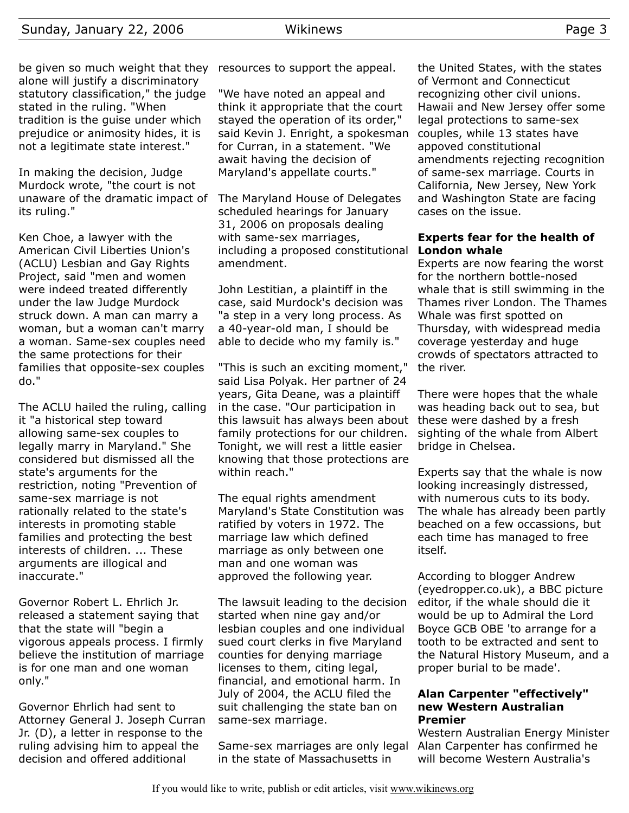be given so much weight that they resources to support the appeal. alone will justify a discriminatory statutory classification," the judge stated in the ruling. "When tradition is the guise under which prejudice or animosity hides, it is not a legitimate state interest."

In making the decision, Judge Murdock wrote, "the court is not unaware of the dramatic impact of its ruling."

Ken Choe, a lawyer with the American Civil Liberties Union's (ACLU) Lesbian and Gay Rights Project, said "men and women were indeed treated differently under the law Judge Murdock struck down. A man can marry a woman, but a woman can't marry a woman. Same-sex couples need the same protections for their families that opposite-sex couples do."

The ACLU hailed the ruling, calling it "a historical step toward allowing same-sex couples to legally marry in Maryland." She considered but dismissed all the state's arguments for the restriction, noting "Prevention of same-sex marriage is not rationally related to the state's interests in promoting stable families and protecting the best interests of children. ... These arguments are illogical and inaccurate."

Governor Robert L. Ehrlich Jr. released a statement saying that that the state will "begin a vigorous appeals process. I firmly believe the institution of marriage is for one man and one woman only."

Governor Ehrlich had sent to Attorney General J. Joseph Curran Jr. (D), a letter in response to the ruling advising him to appeal the decision and offered additional

"We have noted an appeal and think it appropriate that the court stayed the operation of its order," said Kevin J. Enright, a spokesman for Curran, in a statement. "We await having the decision of Maryland's appellate courts."

The Maryland House of Delegates scheduled hearings for January 31, 2006 on proposals dealing with same-sex marriages, including a proposed constitutional amendment.

John Lestitian, a plaintiff in the case, said Murdock's decision was "a step in a very long process. As a 40-year-old man, I should be able to decide who my family is."

"This is such an exciting moment," said Lisa Polyak. Her partner of 24 years, Gita Deane, was a plaintiff in the case. "Our participation in this lawsuit has always been about family protections for our children. Tonight, we will rest a little easier knowing that those protections are within reach."

The equal rights amendment Maryland's State Constitution was ratified by voters in 1972. The marriage law which defined marriage as only between one man and one woman was approved the following year.

The lawsuit leading to the decision started when nine gay and/or lesbian couples and one individual sued court clerks in five Maryland counties for denying marriage licenses to them, citing legal, financial, and emotional harm. In July of 2004, the ACLU filed the suit challenging the state ban on same-sex marriage.

Same-sex marriages are only legal in the state of Massachusetts in

the United States, with the states of Vermont and Connecticut recognizing other civil unions. Hawaii and New Jersey offer some legal protections to same-sex couples, while 13 states have appoved constitutional amendments rejecting recognition of same-sex marriage. Courts in California, New Jersey, New York and Washington State are facing cases on the issue.

#### **Experts fear for the health of London whale**

Experts are now fearing the worst for the northern bottle-nosed whale that is still swimming in the Thames river London. The Thames Whale was first spotted on Thursday, with widespread media coverage yesterday and huge crowds of spectators attracted to the river.

There were hopes that the whale was heading back out to sea, but these were dashed by a fresh sighting of the whale from Albert bridge in Chelsea.

Experts say that the whale is now looking increasingly distressed, with numerous cuts to its body. The whale has already been partly beached on a few occassions, but each time has managed to free itself.

According to blogger Andrew (eyedropper.co.uk), a BBC picture editor, if the whale should die it would be up to Admiral the Lord Boyce GCB OBE 'to arrange for a tooth to be extracted and sent to the Natural History Museum, and a proper burial to be made'.

#### **Alan Carpenter "effectively" new Western Australian Premier**

Western Australian Energy Minister Alan Carpenter has confirmed he will become Western Australia's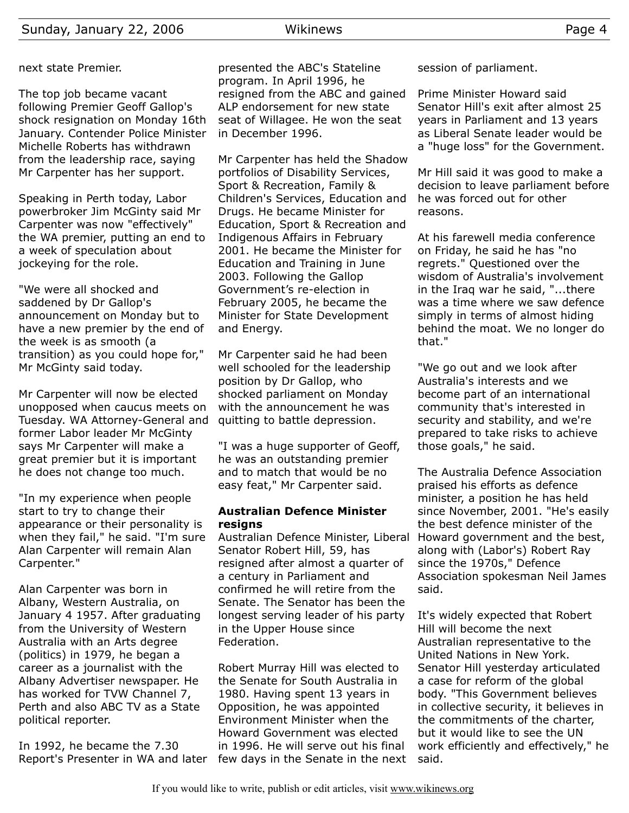next state Premier.

The top job became vacant following Premier Geoff Gallop's shock resignation on Monday 16th January. Contender Police Minister Michelle Roberts has withdrawn from the leadership race, saying Mr Carpenter has her support.

Speaking in Perth today, Labor powerbroker Jim McGinty said Mr Carpenter was now "effectively" the WA premier, putting an end to a week of speculation about jockeying for the role.

"We were all shocked and saddened by Dr Gallop's announcement on Monday but to have a new premier by the end of the week is as smooth (a transition) as you could hope for," Mr McGinty said today.

Mr Carpenter will now be elected unopposed when caucus meets on Tuesday. WA Attorney-General and former Labor leader Mr McGinty says Mr Carpenter will make a great premier but it is important he does not change too much.

"In my experience when people start to try to change their appearance or their personality is when they fail," he said. "I'm sure Alan Carpenter will remain Alan Carpenter."

Alan Carpenter was born in Albany, Western Australia, on January 4 1957. After graduating from the University of Western Australia with an Arts degree (politics) in 1979, he began a career as a journalist with the Albany Advertiser newspaper. He has worked for TVW Channel 7, Perth and also ABC TV as a State political reporter.

In 1992, he became the 7.30

presented the ABC's Stateline program. In April 1996, he resigned from the ABC and gained ALP endorsement for new state seat of Willagee. He won the seat in December 1996.

Mr Carpenter has held the Shadow portfolios of Disability Services, Sport & Recreation, Family & Children's Services, Education and Drugs. He became Minister for Education, Sport & Recreation and Indigenous Affairs in February 2001. He became the Minister for Education and Training in June 2003. Following the Gallop Government's re-election in February 2005, he became the Minister for State Development and Energy.

Mr Carpenter said he had been well schooled for the leadership position by Dr Gallop, who shocked parliament on Monday with the announcement he was quitting to battle depression.

"I was a huge supporter of Geoff, he was an outstanding premier and to match that would be no easy feat," Mr Carpenter said.

#### **Australian Defence Minister resigns**

Australian Defence Minister, Liberal Senator Robert Hill, 59, has resigned after almost a quarter of a century in Parliament and confirmed he will retire from the Senate. The Senator has been the longest serving leader of his party in the Upper House since Federation.

Report's Presenter in WA and later few days in the Senate in the next Robert Murray Hill was elected to the Senate for South Australia in 1980. Having spent 13 years in Opposition, he was appointed Environment Minister when the Howard Government was elected in 1996. He will serve out his final session of parliament.

Prime Minister Howard said Senator Hill's exit after almost 25 years in Parliament and 13 years as Liberal Senate leader would be a "huge loss" for the Government.

Mr Hill said it was good to make a decision to leave parliament before he was forced out for other reasons.

At his farewell media conference on Friday, he said he has "no regrets." Questioned over the wisdom of Australia's involvement in the Iraq war he said, "...there was a time where we saw defence simply in terms of almost hiding behind the moat. We no longer do that."

"We go out and we look after Australia's interests and we become part of an international community that's interested in security and stability, and we're prepared to take risks to achieve those goals," he said.

The Australia Defence Association praised his efforts as defence minister, a position he has held since November, 2001. "He's easily the best defence minister of the Howard government and the best, along with (Labor's) Robert Ray since the 1970s," Defence Association spokesman Neil James said.

It's widely expected that Robert Hill will become the next Australian representative to the United Nations in New York. Senator Hill yesterday articulated a case for reform of the global body. "This Government believes in collective security, it believes in the commitments of the charter, but it would like to see the UN work efficiently and effectively," he said.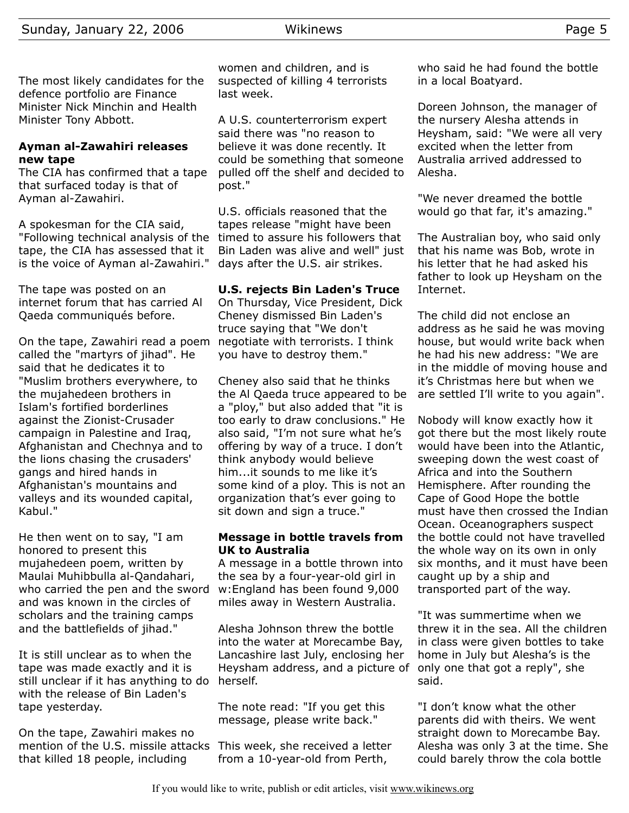The most likely candidates for the defence portfolio are Finance Minister Nick Minchin and Health Minister Tony Abbott.

# **Ayman al-Zawahiri releases new tape**

The CIA has confirmed that a tape that surfaced today is that of Ayman al-Zawahiri.

A spokesman for the CIA said, "Following technical analysis of the tape, the CIA has assessed that it is the voice of Ayman al-Zawahiri."

The tape was posted on an internet forum that has carried Al Qaeda communiqués before.

On the tape, Zawahiri read a poem called the "martyrs of jihad". He said that he dedicates it to "Muslim brothers everywhere, to the mujahedeen brothers in Islam's fortified borderlines against the Zionist-Crusader campaign in Palestine and Iraq, Afghanistan and Chechnya and to the lions chasing the crusaders' gangs and hired hands in Afghanistan's mountains and valleys and its wounded capital, Kabul."

He then went on to say, "I am honored to present this mujahedeen poem, written by Maulai Muhibbulla al-Qandahari, who carried the pen and the sword and was known in the circles of scholars and the training camps and the battlefields of jihad."

It is still unclear as to when the tape was made exactly and it is still unclear if it has anything to do with the release of Bin Laden's tape yesterday.

On the tape, Zawahiri makes no mention of the U.S. missile attacks This week, she received a letter that killed 18 people, including

women and children, and is suspected of killing 4 terrorists last week.

A U.S. counterterrorism expert said there was "no reason to believe it was done recently. It could be something that someone pulled off the shelf and decided to post."

U.S. officials reasoned that the tapes release "might have been timed to assure his followers that Bin Laden was alive and well" just days after the U.S. air strikes.

# **U.S. rejects Bin Laden's Truce**

On Thursday, Vice President, Dick Cheney dismissed Bin Laden's truce saying that "We don't negotiate with terrorists. I think you have to destroy them."

Cheney also said that he thinks the Al Qaeda truce appeared to be a "ploy," but also added that "it is too early to draw conclusions." He also said, "I'm not sure what he's offering by way of a truce. I don't think anybody would believe him...it sounds to me like it's some kind of a ploy. This is not an organization that's ever going to sit down and sign a truce."

### **Message in bottle travels from UK to Australia**

A message in a bottle thrown into the sea by a four-year-old girl in w:England has been found 9,000 miles away in Western Australia.

Alesha Johnson threw the bottle into the water at Morecambe Bay, Lancashire last July, enclosing her Heysham address, and a picture of herself.

The note read: "If you get this message, please write back."

from a 10-year-old from Perth,

who said he had found the bottle in a local Boatyard.

Doreen Johnson, the manager of the nursery Alesha attends in Heysham, said: "We were all very excited when the letter from Australia arrived addressed to Alesha.

"We never dreamed the bottle would go that far, it's amazing."

The Australian boy, who said only that his name was Bob, wrote in his letter that he had asked his father to look up Heysham on the Internet.

The child did not enclose an address as he said he was moving house, but would write back when he had his new address: "We are in the middle of moving house and it's Christmas here but when we are settled I'll write to you again".

Nobody will know exactly how it got there but the most likely route would have been into the Atlantic, sweeping down the west coast of Africa and into the Southern Hemisphere. After rounding the Cape of Good Hope the bottle must have then crossed the Indian Ocean. Oceanographers suspect the bottle could not have travelled the whole way on its own in only six months, and it must have been caught up by a ship and transported part of the way.

"It was summertime when we threw it in the sea. All the children in class were given bottles to take home in July but Alesha's is the only one that got a reply", she said.

"I don't know what the other parents did with theirs. We went straight down to Morecambe Bay. Alesha was only 3 at the time. She could barely throw the cola bottle